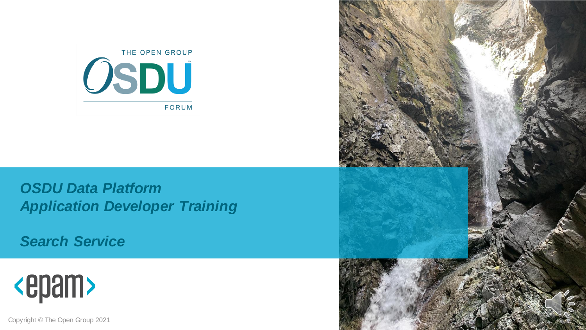

*OSDU Data Platform Application Developer Training*

*Search Service*



Copyright © The Open Group 2021

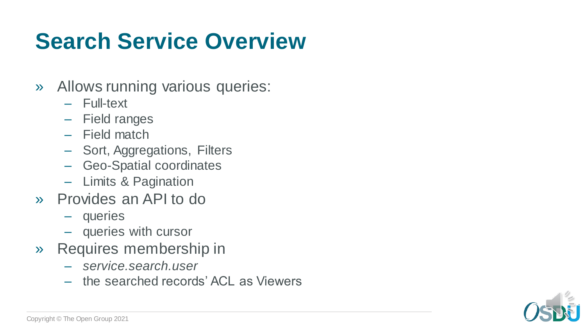## **Search Service Overview**

- » Allows running various queries:
	- Full-text
	- Field ranges
	- Field match
	- Sort, Aggregations, Filters
	- Geo-Spatial coordinates
	- Limits & Pagination
- » Provides an API to do
	- queries
	- queries with cursor
- » Requires membership in
	- *service.search.user*
	- the searched records' ACL as Viewers

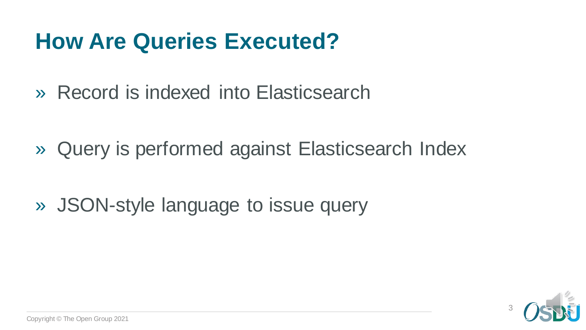#### **How Are Queries Executed?**

» Record is indexed into Elasticsearch

» Query is performed against Elasticsearch Index

» JSON-style language to issue query

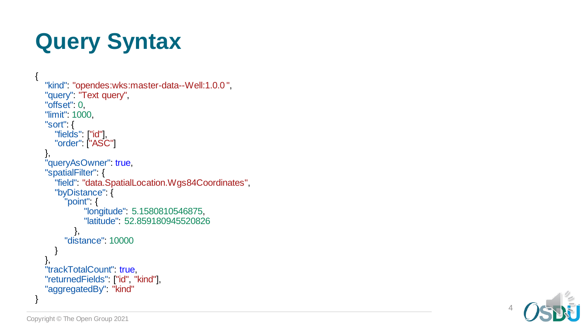# **Query Syntax**

{

```
"kind": "opendes:wks:master-data--Well:1.0.0",
"query": "Text query",
"offset" 0,
"limit"
: 1000
,
"sort"
:
{
  "fields": ["id"],
  "order": ["ASC"]
},<br>"queryAsOwner": t<mark>rue</mark>,
"spatialFilter" {
  "field"
: "data.SpatialLocation.Wgs84Coordinates"
,
  "byDistance": {
     "point"
:
{
           "longitude"
: 5.1580810546875
,
           "latitude"
: 52.859180945520826
        },
     "distance"
: 10000
  }
},"trackTotalCount": true,
"returnedFields
"
:
["id"
, "kind"],
"aggregatedBy": "kind"
```
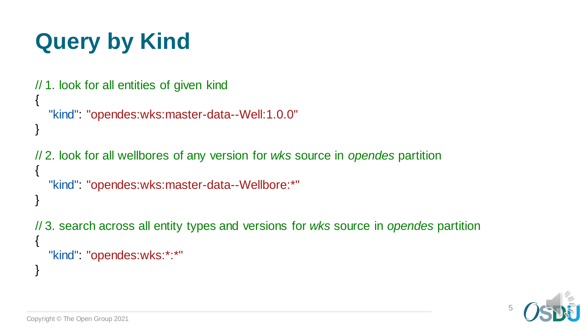# **Query by Kind**

```
// 1. look for all entities of given kind
{
   "kind": "opendes:wks:master-data--Well:1.0.0"
}
```
// 2. look for all wellbores of any version for *wks* source in *opendes* partition { "kind": "opendes:wks:master-data--Wellbore:\*" }

// 3. search across all entity types and versions for *wks* source in *opendes* partition { "kind": "opendes:wks:\*:\*"

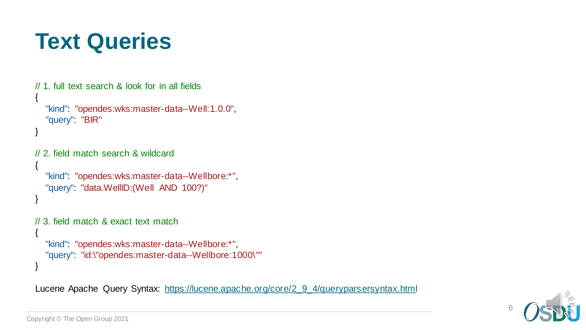#### **Text Queries**

```
// 1. full text search & look for in all fields
{
  "kind": "opendes:wks:master-data--Well:1.0.0",
  "query": "BIR"
}
// 2. field match search & wildcard
{
  "kind": "opendes:wks:master-data--Wellbore:*",
  "query": "data.WellID:(Well AND 100?)"
}
// 3. field match & exact text match
{
  "kind": "opendes:wks:master-data--Wellbore:*",
  "query": "id:\"opendes:master-data--Wellbore:1000\""
}
```
Lucene Apache Query Syntax: [https://lucene.apache.org/core/2\\_9\\_4/queryparsersyntax.html](https://lucene.apache.org/core/2_9_4/queryparsersyntax.html)

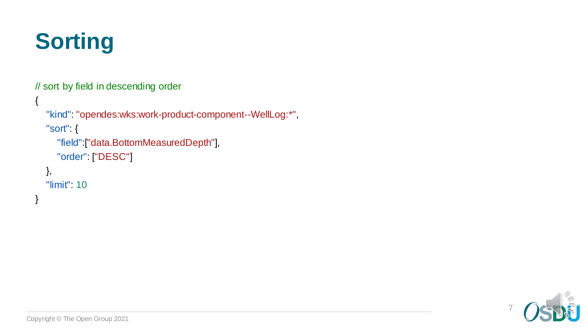

// sort by field in descending order

```
{
  "kind": "opendes:wks:work-product-component--WellLog:*",
  "sort": {
     "field":["data.BottomMeasuredDepth"],
     "order": ["DESC"]
  },
  "limit": 10
}
```
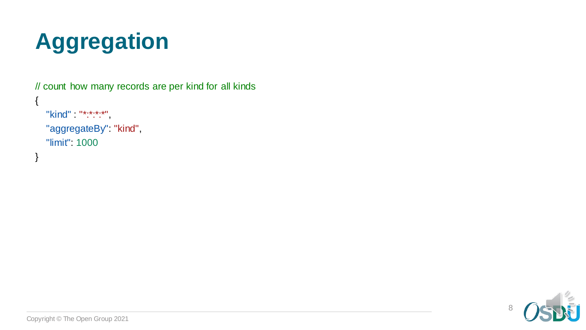

// count how many records are per kind for all kinds

```
"kind" : "*:*:*:*",
"aggregateBy": "kind",
"limit": 1000
```
{

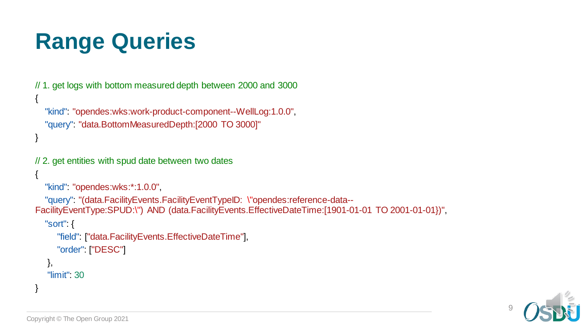# **Range Queries**

```
// 1. get logs with bottom measured depth between 2000 and 3000
{
  "kind": "opendes:wks:work-product-component--WellLog:1.0.0",
  "query": "data.BottomMeasuredDepth:[2000 TO 3000]"
}
// 2. get entities with spud date between two dates
{
  "kind": "opendes:wks:*:1.0.0",
  "query": "(data.FacilityEvents.FacilityEventTypeID: \"opendes:reference-data--
FacilityEventType:SPUD:\") AND (data.FacilityEvents.EffectiveDateTime:[1901-01-01 TO 2001-01-01})",
  "sort": {
     "field": ["data.FacilityEvents.EffectiveDateTime"],
     "order": ["DESC"]
   },
   "limit": 30
}
```
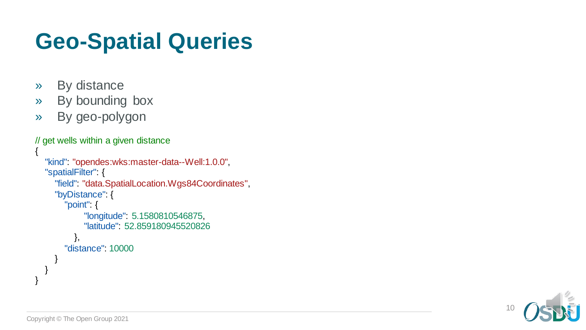# **Geo -Spatial Queries**

- » By distance
- » By bounding box
- » By geo-polygon

```
// get wells within
a given distance
{
  "kind": "opendes:wks:master-data--Well:1.0.0",
  "spatialFilter" {
     "field"
: "data.SpatialLocation.Wgs84Coordinates"
,
     "byDistance" {
        "point"
:
{
             "longitude"
: 5.1580810546875
,
             "latitude"
: 52.859180945520826
          },
        "distance"
: 10000
     }
  }
}
```
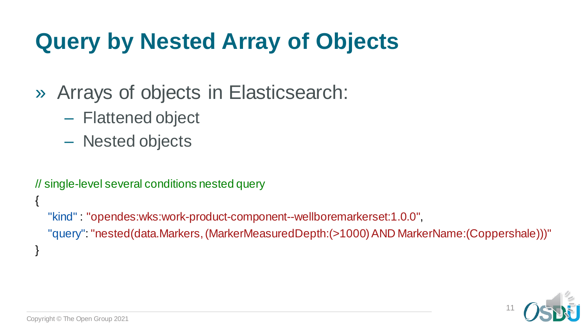# **Query by Nested Array of Objects**

- » Arrays of objects in Elasticsearch:
	- Flattened object
	- Nested objects

// single-level several conditions nested query

"kind" : "opendes:wks:work-product-component--wellboremarkerset:1.0.0", "query": "nested(data.Markers,(MarkerMeasuredDepth:(>1000)AND MarkerName:(Coppershale)))"



{